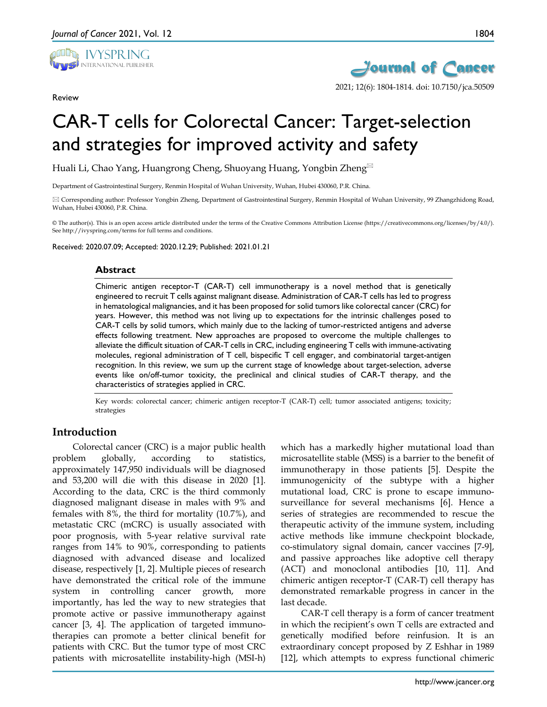

Review



# CAR-T cells for Colorectal Cancer: Target-selection and strategies for improved activity and safety

Huali Li, Chao Yang, Huangrong Cheng, Shuoyang Huang, Yongbin Zheng

Department of Gastrointestinal Surgery, Renmin Hospital of Wuhan University, Wuhan, Hubei 430060, P.R. China.

 Corresponding author: Professor Yongbin Zheng, Department of Gastrointestinal Surgery, Renmin Hospital of Wuhan University, 99 Zhangzhidong Road, Wuhan, Hubei 430060, P.R. China.

© The author(s). This is an open access article distributed under the terms of the Creative Commons Attribution License (https://creativecommons.org/licenses/by/4.0/). See http://ivyspring.com/terms for full terms and conditions.

Received: 2020.07.09; Accepted: 2020.12.29; Published: 2021.01.21

#### **Abstract**

Chimeric antigen receptor-T (CAR-T) cell immunotherapy is a novel method that is genetically engineered to recruit T cells against malignant disease. Administration of CAR-T cells has led to progress in hematological malignancies, and it has been proposed for solid tumors like colorectal cancer (CRC) for years. However, this method was not living up to expectations for the intrinsic challenges posed to CAR-T cells by solid tumors, which mainly due to the lacking of tumor-restricted antigens and adverse effects following treatment. New approaches are proposed to overcome the multiple challenges to alleviate the difficult situation of CAR-T cells in CRC, including engineering T cells with immune-activating molecules, regional administration of T cell, bispecific T cell engager, and combinatorial target-antigen recognition. In this review, we sum up the current stage of knowledge about target-selection, adverse events like on/off-tumor toxicity, the preclinical and clinical studies of CAR-T therapy, and the characteristics of strategies applied in CRC.

Key words: colorectal cancer; chimeric antigen receptor-T (CAR-T) cell; tumor associated antigens; toxicity; strategies

# **Introduction**

Colorectal cancer (CRC) is a major public health problem globally, according to statistics, approximately 147,950 individuals will be diagnosed and 53,200 will die with this disease in 2020 [1]. According to the data, CRC is the third commonly diagnosed malignant disease in males with 9% and females with 8%, the third for mortality (10.7%), and metastatic CRC (mCRC) is usually associated with poor prognosis, with 5-year relative survival rate ranges from 14% to 90%, corresponding to patients diagnosed with advanced disease and localized disease, respectively [1, 2]. Multiple pieces of research have demonstrated the critical role of the immune system in controlling cancer growth, more importantly, has led the way to new strategies that promote active or passive immunotherapy against cancer [3, 4]. The application of targeted immunotherapies can promote a better clinical benefit for patients with CRC. But the tumor type of most CRC patients with microsatellite instability-high (MSI-h)

which has a markedly higher mutational load than microsatellite stable (MSS) is a barrier to the benefit of immunotherapy in those patients [5]. Despite the immunogenicity of the subtype with a higher mutational load, CRC is prone to escape immunosurveillance for several mechanisms [6]. Hence a series of strategies are recommended to rescue the therapeutic activity of the immune system, including active methods like immune checkpoint blockade, co-stimulatory signal domain, cancer vaccines [7-9], and passive approaches like adoptive cell therapy (ACT) and monoclonal antibodies [10, 11]. And chimeric antigen receptor-T (CAR-T) cell therapy has demonstrated remarkable progress in cancer in the last decade.

CAR-T cell therapy is a form of cancer treatment in which the recipient's own T cells are extracted and genetically modified before reinfusion. It is an extraordinary concept proposed by Z Eshhar in 1989 [12], which attempts to express functional chimeric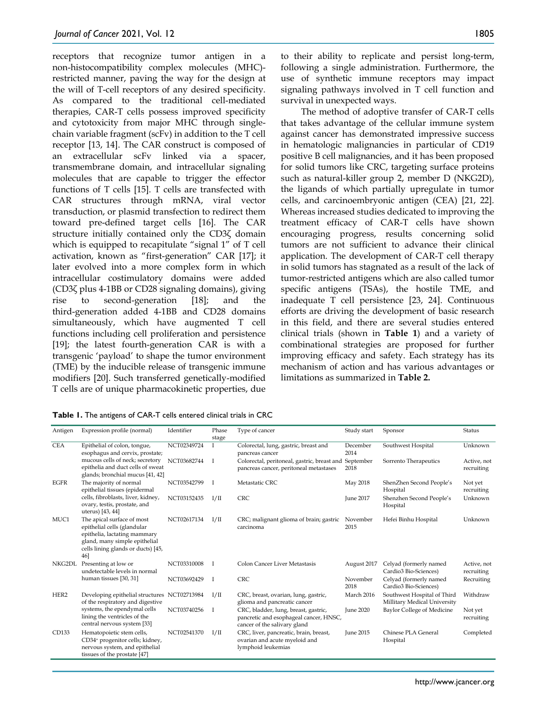receptors that recognize tumor antigen in a non-histocompatibility complex molecules (MHC) restricted manner, paving the way for the design at the will of T-cell receptors of any desired specificity. As compared to the traditional cell-mediated therapies, CAR-T cells possess improved specificity and cytotoxicity from major MHC through singlechain variable fragment (scFv) in addition to the T cell receptor [13, 14]. The CAR construct is composed of an extracellular scFv linked via a spacer, transmembrane domain, and intracellular signaling molecules that are capable to trigger the effector functions of T cells [15]. T cells are transfected with CAR structures through mRNA, viral vector transduction, or plasmid transfection to redirect them toward pre-defined target cells [16]. The CAR structure initially contained only the CD3ζ domain which is equipped to recapitulate "signal 1" of T cell activation, known as "first-generation" CAR [17]; it later evolved into a more complex form in which intracellular costimulatory domains were added (CD3ζ plus 4-1BB or CD28 signaling domains), giving rise to second-generation [18]; and the third-generation added 4-1BB and CD28 domains simultaneously, which have augmented T cell functions including cell proliferation and persistence [19]; the latest fourth-generation CAR is with a transgenic 'payload' to shape the tumor environment (TME) by the inducible release of transgenic immune modifiers [20]. Such transferred genetically-modified T cells are of unique pharmacokinetic properties, due

| Antigen     | Expression profile (normal)                                                                                                                                             | Identifier  | Phase<br>stage | Type of cancer                                                                                                 | Study start      | Sponsor                                                     | Status                    |
|-------------|-------------------------------------------------------------------------------------------------------------------------------------------------------------------------|-------------|----------------|----------------------------------------------------------------------------------------------------------------|------------------|-------------------------------------------------------------|---------------------------|
| <b>CEA</b>  | Epithelial of colon, tongue,<br>esophagus and cervix, prostate;                                                                                                         | NCT02349724 | Ι              | Colorectal, lung, gastric, breast and<br>pancreas cancer                                                       | December<br>2014 | Southwest Hospital                                          | Unknown                   |
|             | mucous cells of neck; secretory<br>epithelia and duct cells of sweat<br>glands; bronchial mucus [41, 42]                                                                | NCT03682744 |                | Colorectal, peritoneal, gastric, breast and September<br>pancreas cancer, peritoneal metastases                | 2018             | Sorrento Therapeutics                                       | Active, not<br>recruiting |
| <b>EGFR</b> | The majority of normal<br>epithelial tissues (epidermal                                                                                                                 | NCT03542799 | I              | Metastatic CRC                                                                                                 | May 2018         | ShenZhen Second People's<br>Hospital                        | Not yet<br>recruiting     |
|             | cells, fibroblasts, liver, kidney,<br>ovary, testis, prostate, and<br>uterus) [43, 44]                                                                                  | NCT03152435 | I/II           | <b>CRC</b>                                                                                                     | June 2017        | Shenzhen Second People's<br>Hospital                        | Unknown                   |
| MUC1        | The apical surface of most<br>epithelial cells (glandular<br>epithelia, lactating mammary<br>gland, many simple epithelial<br>cells lining glands or ducts) [45,<br>46] | NCT02617134 | I/II           | CRC; malignant glioma of brain; gastric<br>carcinoma                                                           | November<br>2015 | Hefei Binhu Hospital                                        | Unknown                   |
| NKG2DL      | Presenting at low or<br>undetectable levels in normal                                                                                                                   | NCT03310008 | T              | Colon Cancer Liver Metastasis                                                                                  | August 2017      | Celyad (formerly named<br>Cardio3 Bio-Sciences)             | Active, not<br>recruiting |
|             | human tissues [30, 31]                                                                                                                                                  | NCT03692429 | Ι              | <b>CRC</b>                                                                                                     | November<br>2018 | Celyad (formerly named<br>Cardio3 Bio-Sciences)             | Recruiting                |
| HER2        | Developing epithelial structures NCT02713984<br>of the respiratory and digestive                                                                                        |             | I/II           | CRC, breast, ovarian, lung, gastric,<br>glioma and pancreatic cancer                                           | March 2016       | Southwest Hospital of Third<br>Millitary Medical University | Withdraw                  |
|             | systems, the ependymal cells<br>lining the ventricles of the<br>central nervous system [33]                                                                             | NCT03740256 | T              | CRC, bladder, lung, breast, gastric,<br>pancretic and esophageal cancer, HNSC,<br>cancer of the salivary gland | <b>June 2020</b> | Baylor College of Medicine                                  | Not yet<br>recruiting     |
| CD133       | Hematopoietic stem cells,<br>CD34+ progenitor cells; kidney,<br>nervous system, and epithelial<br>tissues of the prostate [47]                                          | NCT02541370 | I/II           | CRC, liver, pancreatic, brain, breast,<br>ovarian and acute myeloid and<br>lymphoid leukemias                  | June 2015        | Chinese PLA General<br>Hospital                             | Completed                 |

to their ability to replicate and persist long-term, following a single administration. Furthermore, the use of synthetic immune receptors may impact signaling pathways involved in T cell function and survival in unexpected ways.

The method of adoptive transfer of CAR-T cells that takes advantage of the cellular immune system against cancer has demonstrated impressive success in hematologic malignancies in particular of CD19 positive B cell malignancies, and it has been proposed for solid tumors like CRC, targeting surface proteins such as natural-killer group 2, member D (NKG2D), the ligands of which partially upregulate in tumor cells, and carcinoembryonic antigen (CEA) [21, 22]. Whereas increased studies dedicated to improving the treatment efficacy of CAR-T cells have shown encouraging progress, results concerning solid tumors are not sufficient to advance their clinical application. The development of CAR-T cell therapy in solid tumors has stagnated as a result of the lack of tumor-restricted antigens which are also called tumor specific antigens (TSAs), the hostile TME, and inadequate T cell persistence [23, 24]. Continuous efforts are driving the development of basic research in this field, and there are several studies entered clinical trials (shown in **Table 1**) and a variety of combinational strategies are proposed for further improving efficacy and safety. Each strategy has its mechanism of action and has various advantages or limitations as summarized in **Table 2.**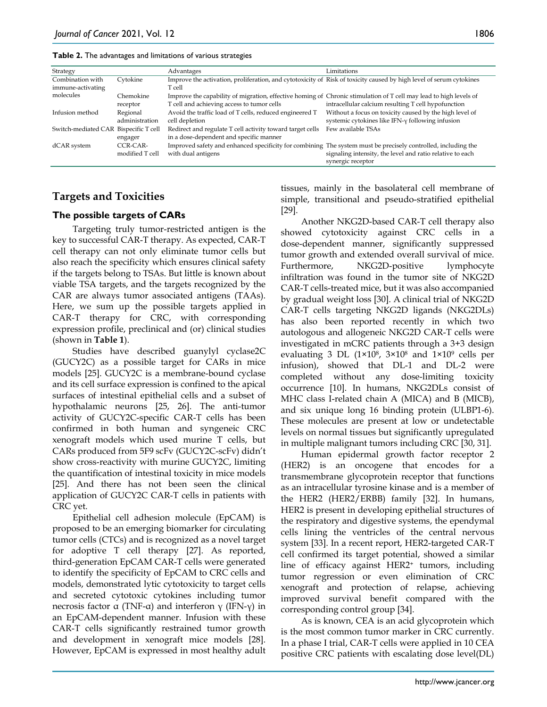| Strategy                              |                             | Advantages                                                                                                                                                      | Limitations                                                                                                         |
|---------------------------------------|-----------------------------|-----------------------------------------------------------------------------------------------------------------------------------------------------------------|---------------------------------------------------------------------------------------------------------------------|
| Combination with<br>immune-activating | Cytokine                    | Improve the activation, proliferation, and cytotoxicity of Risk of toxicity caused by high level of serum cytokines<br>T cell                                   |                                                                                                                     |
| molecules                             | Chemokine<br>receptor       | Improve the capability of migration, effective homing of Chronic stimulation of T cell may lead to high levels of<br>T cell and achieving access to tumor cells | intracellular calcium resulting T cell hypofunction                                                                 |
| Infusion method                       | Regional<br>administration  | Avoid the traffic load of T cells, reduced engineered T<br>cell depletion                                                                                       | Without a focus on toxicity caused by the high level of<br>systemic cytokines like IFN- $\gamma$ following infusion |
| Switch-mediated CAR Bispecific T cell | engager                     | Redirect and regulate T cell activity toward target cells<br>in a dose-dependent and specific manner                                                            | Few available TSAs                                                                                                  |
| dCAR system                           | CCR-CAR-<br>modified T cell | Improved safety and enhanced specificity for combining. The system must be precisely controlled, including the<br>with dual antigens                            | signaling intensity, the level and ratio relative to each<br>synergic receptor                                      |

# **Targets and Toxicities**

#### **The possible targets of CARs**

Targeting truly tumor-restricted antigen is the key to successful CAR-T therapy. As expected, CAR-T cell therapy can not only eliminate tumor cells but also reach the specificity which ensures clinical safety if the targets belong to TSAs. But little is known about viable TSA targets, and the targets recognized by the CAR are always tumor associated antigens (TAAs). Here, we sum up the possible targets applied in CAR-T therapy for CRC, with corresponding expression profile, preclinical and (or) clinical studies (shown in **Table 1**).

Studies have described guanylyl cyclase2C (GUCY2C) as a possible target for CARs in mice models [25]. GUCY2C is a membrane-bound cyclase and its cell surface expression is confined to the apical surfaces of intestinal epithelial cells and a subset of hypothalamic neurons [25, 26]. The anti-tumor activity of GUCY2C-specific CAR-T cells has been confirmed in both human and syngeneic CRC xenograft models which used murine T cells, but CARs produced from 5F9 scFv (GUCY2C-scFv) didn't show cross-reactivity with murine GUCY2C, limiting the quantification of intestinal toxicity in mice models [25]. And there has not been seen the clinical application of GUCY2C CAR-T cells in patients with CRC yet.

Epithelial cell adhesion molecule (EpCAM) is proposed to be an emerging biomarker for circulating tumor cells (CTCs) and is recognized as a novel target for adoptive T cell therapy [27]. As reported, third-generation EpCAM CAR-T cells were generated to identify the specificity of EpCAM to CRC cells and models, demonstrated lytic cytotoxicity to target cells and secreted cytotoxic cytokines including tumor necrosis factor  $\alpha$  (TNF-α) and interferon  $\gamma$  (IFN- $\gamma$ ) in an EpCAM-dependent manner. Infusion with these CAR-T cells significantly restrained tumor growth and development in xenograft mice models [28]. However, EpCAM is expressed in most healthy adult

tissues, mainly in the basolateral cell membrane of simple, transitional and pseudo-stratified epithelial [29].

Another NKG2D-based CAR-T cell therapy also showed cytotoxicity against CRC cells in a dose-dependent manner, significantly suppressed tumor growth and extended overall survival of mice. Furthermore, NKG2D-positive lymphocyte infiltration was found in the tumor site of NKG2D CAR-T cells-treated mice, but it was also accompanied by gradual weight loss [30]. A clinical trial of NKG2D CAR-T cells targeting NKG2D ligands (NKG2DLs) has also been reported recently in which two autologous and allogeneic NKG2D CAR-T cells were investigated in mCRC patients through a 3+3 design evaluating 3 DL (1×108, 3×108 and 1×109 cells per infusion), showed that DL-1 and DL-2 were completed without any dose-limiting toxicity occurrence [10]. In humans, NKG2DLs consist of MHC class I-related chain A (MICA) and B (MICB), and six unique long 16 binding protein (ULBP1-6). These molecules are present at low or undetectable levels on normal tissues but significantly upregulated in multiple malignant tumors including CRC [30, 31].

Human epidermal growth factor receptor 2 (HER2) is an oncogene that encodes for a transmembrane glycoprotein receptor that functions as an intracellular tyrosine kinase and is a member of the HER2 (HER2/ERBB) family [32]. In humans, HER2 is present in developing epithelial structures of the respiratory and digestive systems, the ependymal cells lining the ventricles of the central nervous system [33]. In a recent report, HER2-targeted CAR-T cell confirmed its target potential, showed a similar line of efficacy against HER2+ tumors, including tumor regression or even elimination of CRC xenograft and protection of relapse, achieving improved survival benefit compared with the corresponding control group [34].

As is known, CEA is an acid glycoprotein which is the most common tumor marker in CRC currently. In a phase I trial, CAR-T cells were applied in 10 CEA positive CRC patients with escalating dose level(DL)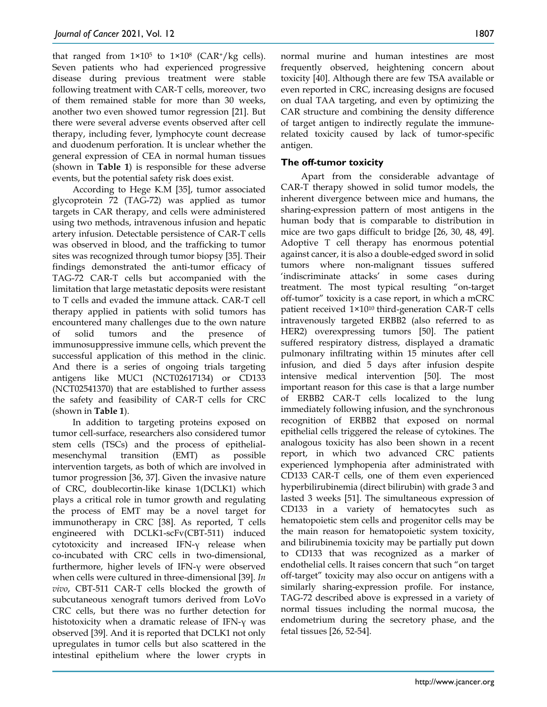that ranged from  $1\times10^5$  to  $1\times10^8$  (CAR<sup>+</sup>/kg cells). Seven patients who had experienced progressive disease during previous treatment were stable following treatment with CAR-T cells, moreover, two of them remained stable for more than 30 weeks, another two even showed tumor regression [21]. But there were several adverse events observed after cell therapy, including fever, lymphocyte count decrease and duodenum perforation. It is unclear whether the general expression of CEA in normal human tissues (shown in **Table 1**) is responsible for these adverse events, but the potential safety risk does exist.

According to Hege K.M [35], tumor associated glycoprotein 72 (TAG-72) was applied as tumor targets in CAR therapy, and cells were administered using two methods, intravenous infusion and hepatic artery infusion. Detectable persistence of CAR-T cells was observed in blood, and the trafficking to tumor sites was recognized through tumor biopsy [35]. Their findings demonstrated the anti-tumor efficacy of TAG-72 CAR-T cells but accompanied with the limitation that large metastatic deposits were resistant to T cells and evaded the immune attack. CAR-T cell therapy applied in patients with solid tumors has encountered many challenges due to the own nature of solid tumors and the presence of immunosuppressive immune cells, which prevent the successful application of this method in the clinic. And there is a series of ongoing trials targeting antigens like MUC1 (NCT02617134) or CD133 (NCT02541370) that are established to further assess the safety and feasibility of CAR-T cells for CRC (shown in **Table 1**).

In addition to targeting proteins exposed on tumor cell-surface, researchers also considered tumor stem cells (TSCs) and the process of epithelialmesenchymal transition (EMT) as possible intervention targets, as both of which are involved in tumor progression [36, 37]. Given the invasive nature of CRC, doublecortin-like kinase 1(DCLK1) which plays a critical role in tumor growth and regulating the process of EMT may be a novel target for immunotherapy in CRC [38]. As reported, T cells engineered with DCLK1-scFv(CBT-511) induced cytotoxicity and increased IFN-γ release when co-incubated with CRC cells in two-dimensional, furthermore, higher levels of IFN-γ were observed when cells were cultured in three-dimensional [39]. *In vivo*, CBT-511 CAR-T cells blocked the growth of subcutaneous xenograft tumors derived from LoVo CRC cells, but there was no further detection for histotoxicity when a dramatic release of IFN-γ was observed [39]. And it is reported that DCLK1 not only upregulates in tumor cells but also scattered in the intestinal epithelium where the lower crypts in

normal murine and human intestines are most frequently observed, heightening concern about toxicity [40]. Although there are few TSA available or even reported in CRC, increasing designs are focused on dual TAA targeting, and even by optimizing the CAR structure and combining the density difference of target antigen to indirectly regulate the immunerelated toxicity caused by lack of tumor-specific antigen.

### **The off-tumor toxicity**

Apart from the considerable advantage of CAR-T therapy showed in solid tumor models, the inherent divergence between mice and humans, the sharing-expression pattern of most antigens in the human body that is comparable to distribution in mice are two gaps difficult to bridge [26, 30, 48, 49]. Adoptive T cell therapy has enormous potential against cancer, it is also a double-edged sword in solid tumors where non-malignant tissues suffered 'indiscriminate attacks' in some cases during treatment. The most typical resulting "on-target off-tumor" toxicity is a case report, in which a mCRC patient received 1×1010 third-generation CAR-T cells intravenously targeted ERBB2 (also referred to as HER2) overexpressing tumors [50]. The patient suffered respiratory distress, displayed a dramatic pulmonary infiltrating within 15 minutes after cell infusion, and died 5 days after infusion despite intensive medical intervention [50]. The most important reason for this case is that a large number of ERBB2 CAR-T cells localized to the lung immediately following infusion, and the synchronous recognition of ERBB2 that exposed on normal epithelial cells triggered the release of cytokines. The analogous toxicity has also been shown in a recent report, in which two advanced CRC patients experienced lymphopenia after administrated with CD133 CAR-T cells, one of them even experienced hyperbilirubinemia (direct bilirubin) with grade 3 and lasted 3 weeks [51]. The simultaneous expression of CD133 in a variety of hematocytes such as hematopoietic stem cells and progenitor cells may be the main reason for hematopoietic system toxicity, and bilirubinemia toxicity may be partially put down to CD133 that was recognized as a marker of endothelial cells. It raises concern that such "on target off-target" toxicity may also occur on antigens with a similarly sharing-expression profile. For instance, TAG-72 described above is expressed in a variety of normal tissues including the normal mucosa, the endometrium during the secretory phase, and the fetal tissues [26, 52-54].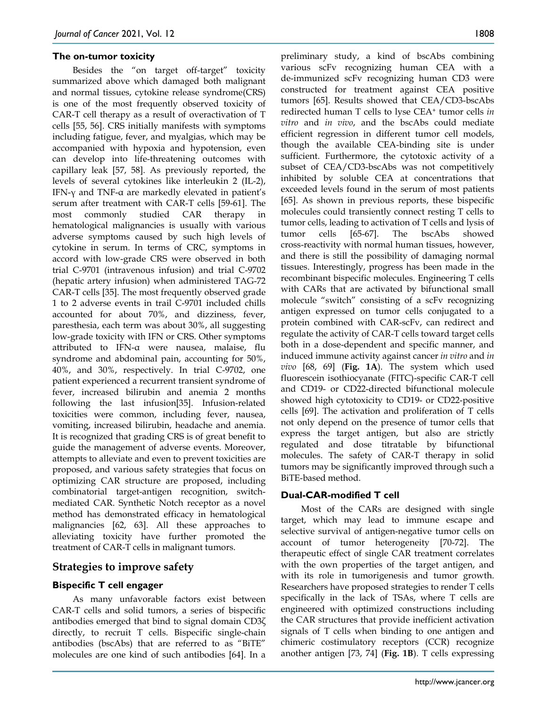#### **The on-tumor toxicity**

Besides the "on target off-target" toxicity summarized above which damaged both malignant and normal tissues, cytokine release syndrome(CRS) is one of the most frequently observed toxicity of CAR-T cell therapy as a result of overactivation of T cells [55, 56]. CRS initially manifests with symptoms including fatigue, fever, and myalgias, which may be accompanied with hypoxia and hypotension, even can develop into life-threatening outcomes with capillary leak [57, 58]. As previously reported, the levels of several cytokines like interleukin 2 (IL-2), IFN-γ and TNF-α are markedly elevated in patient's serum after treatment with CAR-T cells [59-61]. The most commonly studied CAR therapy in hematological malignancies is usually with various adverse symptoms caused by such high levels of cytokine in serum. In terms of CRC, symptoms in accord with low-grade CRS were observed in both trial C-9701 (intravenous infusion) and trial C-9702 (hepatic artery infusion) when administered TAG-72 CAR-T cells [35]. The most frequently observed grade 1 to 2 adverse events in trail C-9701 included chills accounted for about 70%, and dizziness, fever, paresthesia, each term was about 30%, all suggesting low-grade toxicity with IFN or CRS. Other symptoms attributed to IFN-α were nausea, malaise, flu syndrome and abdominal pain, accounting for 50%, 40%, and 30%, respectively. In trial C-9702, one patient experienced a recurrent transient syndrome of fever, increased bilirubin and anemia 2 months following the last infusion[35]. Infusion-related toxicities were common, including fever, nausea, vomiting, increased bilirubin, headache and anemia. It is recognized that grading CRS is of great benefit to guide the management of adverse events. Moreover, attempts to alleviate and even to prevent toxicities are proposed, and various safety strategies that focus on optimizing CAR structure are proposed, including combinatorial target-antigen recognition, switchmediated CAR. Synthetic Notch receptor as a novel method has demonstrated efficacy in hematological malignancies [62, 63]. All these approaches to alleviating toxicity have further promoted the treatment of CAR-T cells in malignant tumors.

# **Strategies to improve safety**

## **Bispecific T cell engager**

As many unfavorable factors exist between CAR-T cells and solid tumors, a series of bispecific antibodies emerged that bind to signal domain CD3ζ directly, to recruit T cells. Bispecific single-chain antibodies (bscAbs) that are referred to as "BiTE" molecules are one kind of such antibodies [64]. In a

preliminary study, a kind of bscAbs combining various scFv recognizing human CEA with a de-immunized scFv recognizing human CD3 were constructed for treatment against CEA positive tumors [65]. Results showed that CEA/CD3-bscAbs redirected human T cells to lyse CEA+ tumor cells *in vitro* and *in vivo*, and the bscAbs could mediate efficient regression in different tumor cell models, though the available CEA-binding site is under sufficient. Furthermore, the cytotoxic activity of a subset of CEA/CD3-bscAbs was not competitively inhibited by soluble CEA at concentrations that exceeded levels found in the serum of most patients [65]. As shown in previous reports, these bispecific molecules could transiently connect resting T cells to tumor cells, leading to activation of T cells and lysis of tumor cells [65-67]. The bscAbs showed cross-reactivity with normal human tissues, however, and there is still the possibility of damaging normal tissues. Interestingly, progress has been made in the recombinant bispecific molecules. Engineering T cells with CARs that are activated by bifunctional small molecule "switch" consisting of a scFv recognizing antigen expressed on tumor cells conjugated to a protein combined with CAR-scFv, can redirect and regulate the activity of CAR-T cells toward target cells both in a dose-dependent and specific manner, and induced immune activity against cancer *in vitro* and *in vivo* [68, 69] (**Fig. 1A**). The system which used fluorescein isothiocyanate (FITC)-specific CAR-T cell and CD19- or CD22-directed bifunctional molecule showed high cytotoxicity to CD19- or CD22-positive cells [69]. The activation and proliferation of T cells not only depend on the presence of tumor cells that express the target antigen, but also are strictly regulated and dose titratable by bifunctional molecules. The safety of CAR-T therapy in solid tumors may be significantly improved through such a BiTE-based method.

#### **Dual-CAR-modified T cell**

Most of the CARs are designed with single target, which may lead to immune escape and selective survival of antigen-negative tumor cells on account of tumor heterogeneity [70-72]. The therapeutic effect of single CAR treatment correlates with the own properties of the target antigen, and with its role in tumorigenesis and tumor growth. Researchers have proposed strategies to render T cells specifically in the lack of TSAs, where T cells are engineered with optimized constructions including the CAR structures that provide inefficient activation signals of T cells when binding to one antigen and chimeric costimulatory receptors (CCR) recognize another antigen [73, 74] (**Fig. 1B**). T cells expressing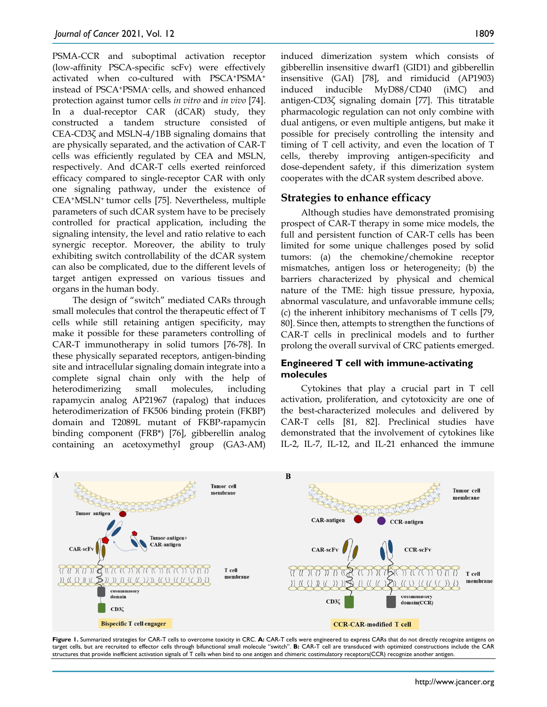PSMA-CCR and suboptimal activation receptor (low-affinity PSCA-specific scFv) were effectively activated when co-cultured with PSCA+PSMA+ instead of PSCA+PSMA- cells, and showed enhanced protection against tumor cells *in vitro* and *in vivo* [74]. In a dual-receptor CAR (dCAR) study, they constructed a tandem structure consisted of CEA-CD3ζ and MSLN-4/1BB signaling domains that are physically separated, and the activation of CAR-T cells was efficiently regulated by CEA and MSLN, respectively. And dCAR-T cells exerted reinforced efficacy compared to single-receptor CAR with only one signaling pathway, under the existence of CEA+MSLN+ tumor cells [75]. Nevertheless, multiple parameters of such dCAR system have to be precisely controlled for practical application, including the signaling intensity, the level and ratio relative to each synergic receptor. Moreover, the ability to truly exhibiting switch controllability of the dCAR system can also be complicated, due to the different levels of target antigen expressed on various tissues and organs in the human body.

The design of "switch" mediated CARs through small molecules that control the therapeutic effect of T cells while still retaining antigen specificity, may make it possible for these parameters controlling of CAR-T immunotherapy in solid tumors [76-78]. In these physically separated receptors, antigen-binding site and intracellular signaling domain integrate into a complete signal chain only with the help of heterodimerizing small molecules, including rapamycin analog AP21967 (rapalog) that induces heterodimerization of FK506 binding protein (FKBP) domain and T2089L mutant of FKBP-rapamycin binding component (FRB\*) [76], gibberellin analog containing an acetoxymethyl group (GA3-AM)

induced dimerization system which consists of gibberellin insensitive dwarf1 (GID1) and gibberellin insensitive (GAI) [78], and rimiducid (AP1903) induced inducible MyD88/CD40 (iMC) and antigen-CD3ζ signaling domain [77]. This titratable pharmacologic regulation can not only combine with dual antigens, or even multiple antigens, but make it possible for precisely controlling the intensity and timing of T cell activity, and even the location of T cells, thereby improving antigen-specificity and dose-dependent safety, if this dimerization system cooperates with the dCAR system described above.

# **Strategies to enhance efficacy**

Although studies have demonstrated promising prospect of CAR-T therapy in some mice models, the full and persistent function of CAR-T cells has been limited for some unique challenges posed by solid tumors: (a) the chemokine/chemokine receptor mismatches, antigen loss or heterogeneity; (b) the barriers characterized by physical and chemical nature of the TME: high tissue pressure, hypoxia, abnormal vasculature, and unfavorable immune cells; (c) the inherent inhibitory mechanisms of T cells [79, 80]. Since then, attempts to strengthen the functions of CAR-T cells in preclinical models and to further prolong the overall survival of CRC patients emerged.

#### **Engineered T cell with immune-activating molecules**

Cytokines that play a crucial part in T cell activation, proliferation, and cytotoxicity are one of the best-characterized molecules and delivered by CAR-T cells [81, 82]. Preclinical studies have demonstrated that the involvement of cytokines like IL-2, IL-7, IL-12, and IL-21 enhanced the immune



**Figure 1.** Summarized strategies for CAR-T cells to overcome toxicity in CRC. **A:** CAR-T cells were engineered to express CARs that do not directly recognize antigens on target cells, but are recruited to effector cells through bifunctional small molecule "switch". **B:** CAR-T cell are transduced with optimized constructions include the CAR structures that provide inefficient activation signals of T cells when bind to one antigen and chimeric costimulatory receptors(CCR) recognize another antigen.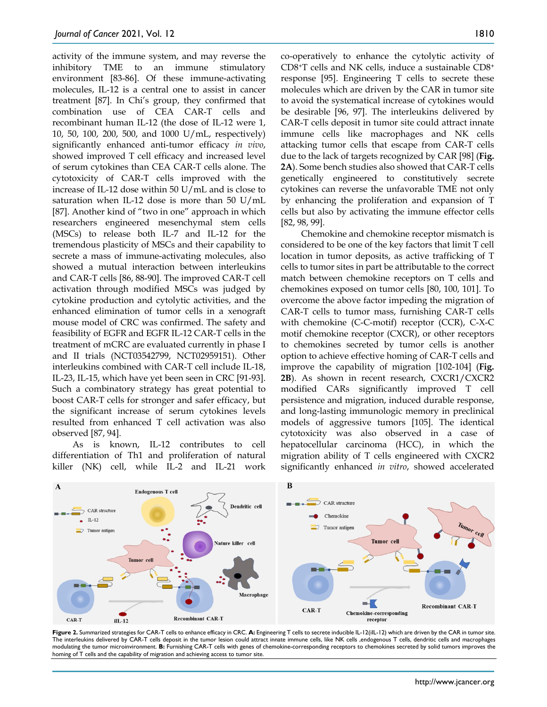activity of the immune system, and may reverse the inhibitory TME to an immune stimulatory environment [83-86]. Of these immune-activating molecules, IL‐12 is a central one to assist in cancer treatment [87]. In Chi's group, they confirmed that combination use of CEA CAR‐T cells and recombinant human IL-12 (the dose of IL-12 were 1, 10, 50, 100, 200, 500, and 1000 U/mL, respectively) significantly enhanced anti-tumor efficacy *in vivo*, showed improved T cell efficacy and increased level of serum cytokines than CEA CAR‐T cells alone. The cytotoxicity of CAR-T cells improved with the increase of IL-12 dose within 50 U/mL and is close to saturation when IL-12 dose is more than 50 U/mL [87]. Another kind of "two in one" approach in which researchers engineered mesenchymal stem cells (MSCs) to release both IL-7 and IL-12 for the tremendous plasticity of MSCs and their capability to secrete a mass of immune-activating molecules, also showed a mutual interaction between interleukins and CAR-T cells [86, 88-90]. The improved CAR-T cell activation through modified MSCs was judged by cytokine production and cytolytic activities, and the enhanced elimination of tumor cells in a xenograft mouse model of CRC was confirmed. The safety and feasibility of EGFR and EGFR IL-12 CAR-T cells in the treatment of mCRC are evaluated currently in phase I and II trials (NCT03542799, NCT02959151). Other interleukins combined with CAR-T cell include IL-18, IL-23, IL-15, which have yet been seen in CRC [91-93]. Such a combinatory strategy has great potential to boost CAR-T cells for stronger and safer efficacy, but the significant increase of serum cytokines levels resulted from enhanced T cell activation was also observed [87, 94].

As is known, IL-12 contributes to cell differentiation of Th1 and proliferation of natural killer (NK) cell, while IL-2 and IL-21 work co-operatively to enhance the cytolytic activity of CD8+T cells and NK cells, induce a sustainable CD8+ response [95]. Engineering T cells to secrete these molecules which are driven by the CAR in tumor site to avoid the systematical increase of cytokines would be desirable [96, 97]. The interleukins delivered by CAR-T cells deposit in tumor site could attract innate immune cells like macrophages and NK cells attacking tumor cells that escape from CAR-T cells due to the lack of targets recognized by CAR [98] (**Fig. 2A**). Some bench studies also showed that CAR-T cells genetically engineered to constitutively secrete cytokines can reverse the unfavorable TME not only by enhancing the proliferation and expansion of T cells but also by activating the immune effector cells [82, 98, 99].

Chemokine and chemokine receptor mismatch is considered to be one of the key factors that limit T cell location in tumor deposits, as active trafficking of T cells to tumor sites in part be attributable to the correct match between chemokine receptors on T cells and chemokines exposed on tumor cells [80, 100, 101]. To overcome the above factor impeding the migration of CAR-T cells to tumor mass, furnishing CAR-T cells with chemokine (C-C-motif) receptor (CCR), C-X-C motif chemokine receptor (CXCR), or other receptors to chemokines secreted by tumor cells is another option to achieve effective homing of CAR-T cells and improve the capability of migration [102-104] (**Fig. 2B**). As shown in recent research, CXCR1/CXCR2 modified CARs significantly improved T cell persistence and migration, induced durable response, and long-lasting immunologic memory in preclinical models of aggressive tumors [105]. The identical cytotoxicity was also observed in a case of hepatocellular carcinoma (HCC), in which the migration ability of T cells engineered with CXCR2 significantly enhanced *in vitro*, showed accelerated



**Figure 2.** Summarized strategies for CAR-T cells to enhance efficacy in CRC. **A:** Engineering T cells to secrete inducible IL-12(iIL-12) which are driven by the CAR in tumor site.<br>The interleukins delivered by CAR-T cells modulating the tumor microinvironment. **B:** Furnishing CAR-T cells with genes of chemokine-corresponding receptors to chemokines secreted by solid tumors improves the homing of T cells and the capability of migration and achieving access to tumor site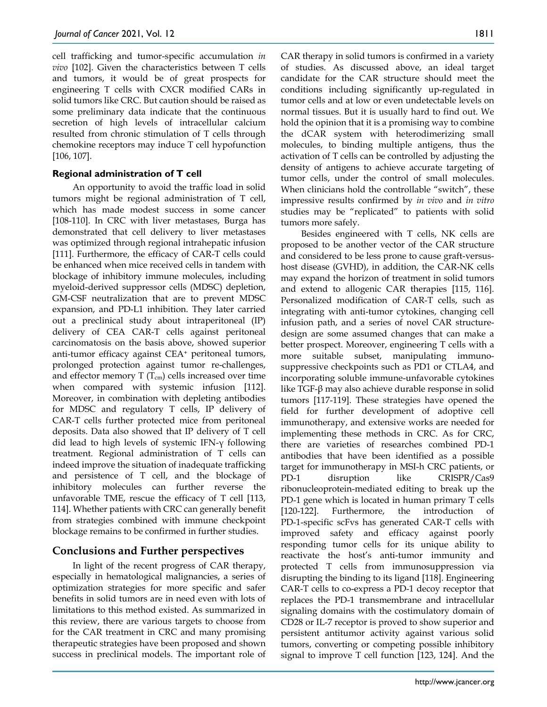cell trafficking and tumor-specific accumulation *in vivo* [102]. Given the characteristics between T cells and tumors, it would be of great prospects for engineering T cells with CXCR modified CARs in solid tumors like CRC. But caution should be raised as some preliminary data indicate that the continuous secretion of high levels of intracellular calcium resulted from chronic stimulation of T cells through chemokine receptors may induce T cell hypofunction [106, 107].

## **Regional administration of T cell**

An opportunity to avoid the traffic load in solid tumors might be regional administration of T cell, which has made modest success in some cancer [108-110]. In CRC with liver metastases, Burga has demonstrated that cell delivery to liver metastases was optimized through regional intrahepatic infusion [111]. Furthermore, the efficacy of CAR-T cells could be enhanced when mice received cells in tandem with blockage of inhibitory immune molecules, including myeloid-derived suppressor cells (MDSC) depletion, GM-CSF neutralization that are to prevent MDSC expansion, and PD-L1 inhibition. They later carried out a preclinical study about intraperitoneal (IP) delivery of CEA CAR-T cells against peritoneal carcinomatosis on the basis above, showed superior anti-tumor efficacy against CEA+ peritoneal tumors, prolonged protection against tumor re-challenges, and effector memory  $T(T_{cm})$  cells increased over time when compared with systemic infusion [112]. Moreover, in combination with depleting antibodies for MDSC and regulatory T cells, IP delivery of CAR-T cells further protected mice from peritoneal deposits. Data also showed that IP delivery of T cell did lead to high levels of systemic IFN-γ following treatment. Regional administration of T cells can indeed improve the situation of inadequate trafficking and persistence of T cell, and the blockage of inhibitory molecules can further reverse the unfavorable TME, rescue the efficacy of T cell [113, 114]. Whether patients with CRC can generally benefit from strategies combined with immune checkpoint blockage remains to be confirmed in further studies.

# **Conclusions and Further perspectives**

In light of the recent progress of CAR therapy, especially in hematological malignancies, a series of optimization strategies for more specific and safer benefits in solid tumors are in need even with lots of limitations to this method existed. As summarized in this review, there are various targets to choose from for the CAR treatment in CRC and many promising therapeutic strategies have been proposed and shown success in preclinical models. The important role of CAR therapy in solid tumors is confirmed in a variety of studies. As discussed above, an ideal target candidate for the CAR structure should meet the conditions including significantly up-regulated in tumor cells and at low or even undetectable levels on normal tissues. But it is usually hard to find out. We hold the opinion that it is a promising way to combine the dCAR system with heterodimerizing small molecules, to binding multiple antigens, thus the activation of T cells can be controlled by adjusting the density of antigens to achieve accurate targeting of tumor cells, under the control of small molecules. When clinicians hold the controllable "switch", these impressive results confirmed by *in vivo* and *in vitro* studies may be "replicated" to patients with solid tumors more safely.

Besides engineered with T cells, NK cells are proposed to be another vector of the CAR structure and considered to be less prone to cause graft-versushost disease (GVHD), in addition, the CAR-NK cells may expand the horizon of treatment in solid tumors and extend to allogenic CAR therapies [115, 116]. Personalized modification of CAR-T cells, such as integrating with anti-tumor cytokines, changing cell infusion path, and a series of novel CAR structuredesign are some assumed changes that can make a better prospect. Moreover, engineering T cells with a more suitable subset, manipulating immunosuppressive checkpoints such as PD1 or CTLA4, and incorporating soluble immune-unfavorable cytokines like TGF-β may also achieve durable response in solid tumors [117-119]. These strategies have opened the field for further development of adoptive cell immunotherapy, and extensive works are needed for implementing these methods in CRC. As for CRC, there are varieties of researches combined PD-1 antibodies that have been identified as a possible target for immunotherapy in MSI-h CRC patients, or PD-1 disruption like CRISPR/Cas9 ribonucleoprotein-mediated editing to break up the PD-1 gene which is located in human primary T cells [120-122]. Furthermore, the introduction of PD-1-specific scFvs has generated CAR-T cells with improved safety and efficacy against poorly responding tumor cells for its unique ability to reactivate the host's anti-tumor immunity and protected T cells from immunosuppression via disrupting the binding to its ligand [118]. Engineering CAR-T cells to co-express a PD-1 decoy receptor that replaces the PD-1 transmembrane and intracellular signaling domains with the costimulatory domain of CD28 or IL-7 receptor is proved to show superior and persistent antitumor activity against various solid tumors, converting or competing possible inhibitory signal to improve T cell function [123, 124]. And the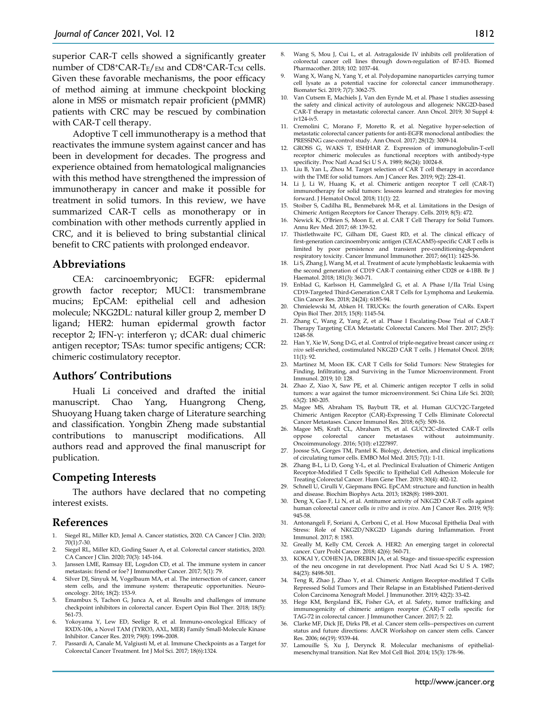superior CAR-T cells showed a significantly greater number of  $CD8+CAR-T<sub>E</sub>/EM$  and  $CD8+CAR-T<sub>CM</sub>$  cells. Given these favorable mechanisms, the poor efficacy of method aiming at immune checkpoint blocking alone in MSS or mismatch repair proficient (pMMR) patients with CRC may be rescued by combination with CAR-T cell therapy.

Adoptive T cell immunotherapy is a method that reactivates the immune system against cancer and has been in development for decades. The progress and experience obtained from hematological malignancies with this method have strengthened the impression of immunotherapy in cancer and make it possible for treatment in solid tumors. In this review, we have summarized CAR-T cells as monotherapy or in combination with other methods currently applied in CRC, and it is believed to bring substantial clinical benefit to CRC patients with prolonged endeavor.

#### **Abbreviations**

CEA: carcinoembryonic; EGFR: epidermal growth factor receptor; MUC1: transmembrane mucins; EpCAM: epithelial cell and adhesion molecule; NKG2DL: natural killer group 2, member D ligand; HER2: human epidermal growth factor receptor 2; IFN-γ: interferon γ; dCAR: dual chimeric antigen receptor; TSAs: tumor specific antigens; CCR: chimeric costimulatory receptor.

#### **Authors' Contributions**

Huali Li conceived and drafted the initial manuscript. Chao Yang, Huangrong Cheng, Shuoyang Huang taken charge of Literature searching and classification. Yongbin Zheng made substantial contributions to manuscript modifications. All authors read and approved the final manuscript for publication.

## **Competing Interests**

The authors have declared that no competing interest exists.

## **References**

- Siegel RL, Miller KD, Jemal A. Cancer statistics, 2020. CA Cancer J Clin. 2020; 70(1):7-30.
- 2. Siegel RL, Miller KD, Goding Sauer A, et al. Colorectal cancer statistics, 2020. CA Cancer J Clin. 2020; 70(3): 145-164.
- Janssen LME, Ramsay EE, Logsdon CD, et al. The immune system in cancer metastasis: friend or foe? J Immunother Cancer. 2017; 5(1): 79.
- 4. Silver DJ, Sinyuk M, Vogelbaum MA, et al. The intersection of cancer, cancer stem cells, and the immune system: therapeutic opportunities. Neurooncology. 2016; 18(2): 153-9.
- 5. Emambux S, Tachon G, Junca A, et al. Results and challenges of immune checkpoint inhibitors in colorectal cancer. Expert Opin Biol Ther. 2018; 18(5): 561-73.
- 6. Yokoyama Y, Lew ED, Seelige R, et al. Immuno-oncological Efficacy of RXDX-106, a Novel TAM (TYRO3, AXL, MER) Family Small-Molecule Kinase Inhibitor. Cancer Res. 2019; 79(8): 1996-2008.
- 7. Passardi A, Canale M, Valgiusti M, et al. Immune Checkpoints as a Target for Colorectal Cancer Treatment. Int J Mol Sci. 2017; 18(6):1324.
- 8. Wang S, Mou J, Cui L, et al. Astragaloside IV inhibits cell proliferation of colorectal cancer cell lines through down-regulation of B7-H3. Biomed Pharmacother. 2018; 102: 1037-44.
- 9. Wang X, Wang N, Yang Y, et al. Polydopamine nanoparticles carrying tumor cell lysate as a potential vaccine for colorectal cancer immunotherapy. Biomater Sci. 2019; 7(7): 3062-75.
- 10. Van Cutsem E, Machiels J, Van den Eynde M, et al. Phase 1 studies assessing the safety and clinical activity of autologous and allogeneic NKG2D-based CAR-T therapy in metastatic colorectal cancer. Ann Oncol. 2019; 30 Suppl 4: iv124-iv5.
- 11. Cremolini C, Morano F, Moretto R, et al. Negative hyper-selection of metastatic colorectal cancer patients for anti-EGFR monoclonal antibodies: the PRESSING case-control study. Ann Oncol. 2017; 28(12): 3009-14.
- 12. GROSS G, WAKS T, ESHHAR Z. Expression of immunoglobulin-T-cell receptor chimeric molecules as functional receptors with antibody-type specificity. Proc Natl Acad Sci U S A. 1989; 86(24): 10024-8.
- 13. Liu B, Yan L, Zhou M. Target selection of CAR T cell therapy in accordance with the TME for solid tumors. Am J Cancer Res. 2019; 9(2): 228-41.
- 14. Li J, Li W, Huang K, et al. Chimeric antigen receptor T cell (CAR-T) immunotherapy for solid tumors: lessons learned and strategies for moving forward. J Hematol Oncol. 2018; 11(1): 22.
- 15. Stoiber S, Cadilha BL, Benmebarek M-R, et al. Limitations in the Design of Chimeric Antigen Receptors for Cancer Therapy. Cells. 2019; 8(5): 472.
- 16. Newick K, O'Brien S, Moon E, et al. CAR T Cell Therapy for Solid Tumors. Annu Rev Med. 2017; 68: 139-52.
- 17. Thistlethwaite FC, Gilham DE, Guest RD, et al. The clinical efficacy of first-generation carcinoembryonic antigen (CEACAM5)-specific CAR T cells is limited by poor persistence and transient pre-conditioning-dependent respiratory toxicity. Cancer Immunol Immunother. 2017; 66(11): 1425-36.
- 18. Li S, Zhang J, Wang M, et al. Treatment of acute lymphoblastic leukaemia with the second generation of CD19 CAR-T containing either CD28 or 4-1BB. Br J Haematol. 2018; 181(3): 360-71.
- 19. Enblad G, Karlsson H, Gammelgård G, et al. A Phase I/IIa Trial Using CD19-Targeted Third-Generation CAR T Cells for Lymphoma and Leukemia. Clin Cancer Res. 2018; 24(24): 6185-94.
- 20. Chmielewski M, Abken H. TRUCKs: the fourth generation of CARs. Expert Opin Biol Ther. 2015; 15(8): 1145-54.
- 21. Zhang C, Wang Z, Yang Z, et al. Phase I Escalating-Dose Trial of CAR-T Therapy Targeting CEA Metastatic Colorectal Cancers. Mol Ther. 2017; 25(5): 1248-58.
- 22. Han Y, Xie W, Song D-G, et al. Control of triple-negative breast cancer using *ex vivo* self-enriched, costimulated NKG2D CAR T cells. J Hematol Oncol. 2018; 11(1): 92.
- 23. Martinez M, Moon EK. CAR T Cells for Solid Tumors: New Strategies for Finding, Infiltrating, and Surviving in the Tumor Microenvironment. Front Immunol. 2019; 10: 128.
- 24. Zhao Z, Xiao X, Saw PE, et al. Chimeric antigen receptor T cells in solid tumors: a war against the tumor microenvironment. Sci China Life Sci. 2020; 63(2): 180-205.
- 25. Magee MS, Abraham TS, Baybutt TR, et al. Human GUCY2C-Targeted Chimeric Antigen Receptor (CAR)-Expressing T Cells Eliminate Colorectal Cancer Metastases. Cancer Immunol Res. 2018; 6(5): 509-16.
- 26. Magee MS, Kraft CL, Abraham TS, et al. GUCY2C-directed CAR-T cells oppose colorectal cancer metastases without autoimmunity. Oncoimmunology. 2016; 5(10): e1227897.
- 27. Joosse SA, Gorges TM, Pantel K. Biology, detection, and clinical implications of circulating tumor cells. EMBO Mol Med. 2015; 7(1): 1-11.
- 28. Zhang B-L, Li D, Gong Y-L, et al. Preclinical Evaluation of Chimeric Antigen Receptor-Modified T Cells Specific to Epithelial Cell Adhesion Molecule for Treating Colorectal Cancer. Hum Gene Ther. 2019; 30(4): 402-12.
- 29. Schnell U, Cirulli V, Giepmans BNG. EpCAM: structure and function in health and disease. Biochim Biophys Acta. 2013; 1828(8): 1989-2001.
- 30. Deng X, Gao F, Li N, et al. Antitumor activity of NKG2D CAR-T cells against human colorectal cancer cells *in vitro* and *in vivo*. Am J Cancer Res. 2019; 9(5): 945-58.
- 31. Antonangeli F, Soriani A, Cerboni C, et al. How Mucosal Epithelia Deal with Stress: Role of NKG2D/NKG2D Ligands during Inflammation. Front Immunol. 2017; 8: 1583.
- 32. Greally M, Kelly CM, Cercek A. HER2: An emerging target in colorectal cancer. Curr Probl Cancer. 2018; 42(6): 560-71.
- 33. KOKAI Y, COHEN JA, DREBIN JA, et al. Stage- and tissue-specific expression of the neu oncogene in rat development. Proc Natl Acad Sci U S A. 1987; 84(23): 8498-501.
- 34. Teng R, Zhao J, Zhao Y, et al. Chimeric Antigen Receptor-modified T Cells Repressed Solid Tumors and Their Relapse in an Established Patient-derived Colon Carcinoma Xenograft Model. J Immunother. 2019; 42(2): 33-42.
- 35. Hege KM, Bergsland EK, Fisher GA, et al. Safety, tumor trafficking and immunogenicity of chimeric antigen receptor (CAR)-T cells specific for TAG-72 in colorectal cancer. J Immunother Cancer. 2017; 5: 22.
- 36. Clarke MF, Dick JE, Dirks PB, et al. Cancer stem cells--perspectives on current status and future directions: AACR Workshop on cancer stem cells. Cancer Res. 2006; 66(19): 9339-44.
- 37. Lamouille S, Xu J, Derynck R. Molecular mechanisms of epithelialmesenchymal transition. Nat Rev Mol Cell Biol. 2014; 15(3): 178-96.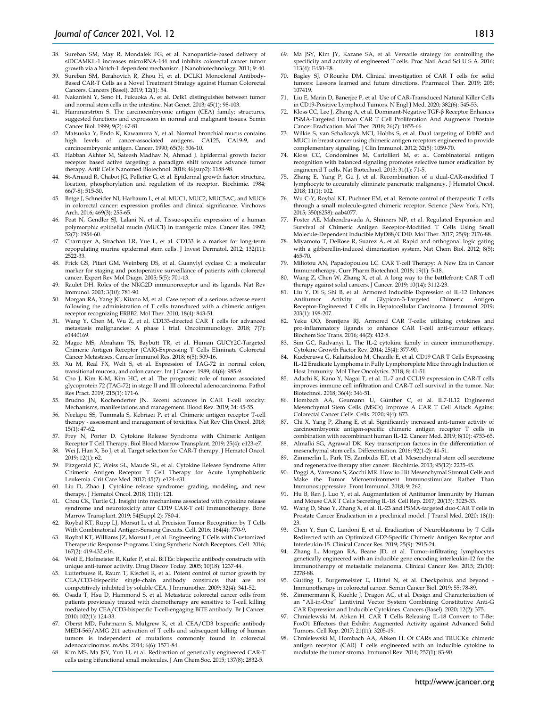- 38. Sureban SM, May R, Mondalek FG, et al. Nanoparticle-based delivery of siDCAMKL-1 increases microRNA-144 and inhibits colorectal cancer tumor growth via a Notch-1 dependent mechanism. J Nanobiotechnology. 2011; 9: 40.
- 39. Sureban SM, Berahovich R, Zhou H, et al. DCLK1 Monoclonal Antibody-Based CAR-T Cells as a Novel Treatment Strategy against Human Colorectal Cancers. Cancers (Basel). 2019; 12(1): 54.
- 40. Nakanishi Y, Seno H, Fukuoka A, et al. Dclk1 distinguishes between tumor and normal stem cells in the intestine. Nat Genet. 2013; 45(1): 98-103.
- 41. Hammarström S. The carcinoembryonic antigen (CEA) family: structures, suggested functions and expression in normal and malignant tissues. Semin Cancer Biol. 1999; 9(2): 67-81.
- 42. Matsuoka Y, Endo K, Kawamura Y, et al. Normal bronchial mucus contains<br>high levels of cancer-associated antigens, CA125, CA19-9, and high levels of cancer-associated antigens, carcinoembryonic antigen. Cancer. 1990; 65(3): 506-10.
- 43. Habban Akhter M, Sateesh Madhav N, Ahmad J. Epidermal growth factor receptor based active targeting: a paradigm shift towards advance tumor therapy. Artif Cells Nanomed Biotechnol. 2018; 46(sup2): 1188-98.
- St-Arnaud R, Chabot JG, Pelletier G, et al. Epidermal growth factor: structure, location, phosphorylation and regulation of its receptor. Biochimie. 1984; 66(7-8): 515-30.
- 45. Betge J, Schneider NI, Harbaum L, et al. MUC1, MUC2, MUC5AC, and MUC6 in colorectal cancer: expression profiles and clinical significance. Virchows Arch. 2016; 469(3): 255-65.
- 46. Peat N, Gendler SJ, Lalani N, et al. Tissue-specific expression of a human polymorphic epithelial mucin (MUC1) in transgenic mice. Cancer Res. 1992; 52(7): 1954-60.
- 47. Charruyer A, Strachan LR, Yue L, et al. CD133 is a marker for long-term repopulating murine epidermal stem cells. J Invest Dermatol. 2012; 132(11): 2522-33.
- 48. Frick GS, Pitari GM, Weinberg DS, et al. Guanylyl cyclase C: a molecular marker for staging and postoperative surveillance of patients with colorectal cancer. Expert Rev Mol Diagn. 2005; 5(5): 701-13.
- 49. Raulet DH. Roles of the NKG2D immunoreceptor and its ligands. Nat Rev Immunol. 2003; 3(10): 781-90.
- Morgan RA, Yang JC, Kitano M, et al. Case report of a serious adverse event following the administration of T cells transduced with a chimeric antigen receptor recognizing ERBB2. Mol Ther. 2010; 18(4): 843-51.
- 51. Wang Y, Chen M, Wu Z, et al. CD133-directed CAR T cells for advanced metastasis malignancies: A phase I trial. Oncoimmunology. 2018; 7(7): e1440169.
- 52. Magee MS, Abraham TS, Baybutt TR, et al. Human GUCY2C-Targeted Chimeric Antigen Receptor (CAR)-Expressing T Cells Eliminate Colorectal Cancer Metastases. Cancer Immunol Res. 2018; 6(5): 509-16.
- 53. Xu M, Real FX, Welt S, et al. Expression of TAG-72 in normal colon, transitional mucosa, and colon cancer. Int J Cancer. 1989; 44(6): 985-9.
- 54. Cho J, Kim K-M, Kim HC, et al. The prognostic role of tumor associated glycoprotein 72 (TAG-72) in stage II and III colorectal adenocarcinoma. Pathol Res Pract. 2019; 215(1): 171-6.
- 55. Brudno JN, Kochenderfer JN. Recent advances in CAR T-cell toxicity: Mechanisms, manifestations and management. Blood Rev. 2019; 34: 45-55.
- 56. Neelapu SS, Tummala S, Kebriaei P, et al. Chimeric antigen receptor T-cell therapy - assessment and management of toxicities. Nat Rev Clin Oncol. 2018;  $15(1): 47-62.$
- 57. Frey N, Porter D. Cytokine Release Syndrome with Chimeric Antigen Receptor T Cell Therapy. Biol Blood Marrow Transplant. 2019; 25(4): e123-e7.
- 58. Wei J, Han X, Bo J, et al. Target selection for CAR-T therapy. J Hematol Oncol. 2019; 12(1): 62.
- 59. Fitzgerald JC, Weiss SL, Maude SL, et al. Cytokine Release Syndrome After Chimeric Antigen Receptor T Cell Therapy for Acute Lymphoblastic Leukemia. Crit Care Med. 2017; 45(2): e124-e31.
- 60. Liu D, Zhao J. Cytokine release syndrome: grading, modeling, and new therapy. J Hematol Oncol. 2018; 11(1): 121.
- 61. Chou CK, Turtle CJ. Insight into mechanisms associated with cytokine release syndrome and neurotoxicity after CD19 CAR-T cell immunotherapy. Bone Marrow Transplant. 2019; 54(Suppl 2): 780-4.
- 62. Roybal KT, Rupp LJ, Morsut L, et al. Precision Tumor Recognition by T Cells With Combinatorial Antigen-Sensing Circuits. Cell. 2016; 164(4): 770-9.
- 63. Roybal KT, Williams JZ, Morsut L, et al. Engineering T Cells with Customized Therapeutic Response Programs Using Synthetic Notch Receptors. Cell. 2016; 167(2): 419-432.e16.
- 64. Wolf E, Hofmeister R, Kufer P, et al. BiTEs: bispecific antibody constructs with unique anti-tumor activity. Drug Discov Today. 2005; 10(18): 1237-44.
- 65. Lutterbuese R, Raum T, Kischel R, et al. Potent control of tumor growth by CEA/CD3-bispecific single-chain antibody constructs that are not competitively inhibited by soluble CEA. J Immunother. 2009; 32(4): 341-52.
- 66. Osada T, Hsu D, Hammond S, et al. Metastatic colorectal cancer cells from patients previously treated with chemotherapy are sensitive to T-cell killing mediated by CEA/CD3-bispecific T-cell-engaging BiTE antibody. Br J Cancer. 2010; 102(1): 124-33.
- 67. Oberst MD, Fuhrmann S, Mulgrew K, et al. CEA/CD3 bispecific antibody MEDI-565/AMG 211 activation of T cells and subsequent killing of human tumors is independent of mutations commonly found in colorectal adenocarcinomas. mAbs. 2014; 6(6): 1571-84.
- Kim MS, Ma JSY, Yun H, et al. Redirection of genetically engineered CAR-T cells using bifunctional small molecules. J Am Chem Soc. 2015; 137(8): 2832-5.
- 69. Ma JSY, Kim JY, Kazane SA, et al. Versatile strategy for controlling the specificity and activity of engineered T cells. Proc Natl Acad Sci U S A. 2016; 113(4): E450-E8.
- 70. Bagley SJ, O'Rourke DM. Clinical investigation of CAR T cells for solid tumors: Lessons learned and future directions. Pharmacol Ther. 2019; 205: 107419.
- 71. Liu E, Marin D, Banerjee P, et al. Use of CAR-Transduced Natural Killer Cells in CD19-Positive Lymphoid Tumors. N Engl J Med. 2020; 382(6): 545-53.
- 72. Kloss CC, Lee J, Zhang A, et al. Dominant-Negative TGF-β Receptor Enhances PSMA-Targeted Human CAR T Cell Proliferation And Augments Prostate Cancer Eradication. Mol Ther. 2018; 26(7): 1855-66.
- 73. Wilkie S, van Schalkwyk MCI, Hobbs S, et al. Dual targeting of ErbB2 and MUC1 in breast cancer using chimeric antigen receptors engineered to provide complementary signaling. J Clin Immunol. 2012; 32(5): 1059-70.
- 74. Kloss CC, Condomines M, Cartellieri M, et al. Combinatorial antigen recognition with balanced signaling promotes selective tumor eradication by engineered T cells. Nat Biotechnol. 2013; 31(1): 71-5.
- Zhang E, Yang P, Gu J, et al. Recombination of a dual-CAR-modified T lymphocyte to accurately eliminate pancreatic malignancy. J Hematol Oncol. 2018; 11(1): 102.
- 76. Wu C-Y, Roybal KT, Puchner EM, et al. Remote control of therapeutic T cells through a small molecule-gated chimeric receptor. Science (New York, NY). 2015; 350(6258): aab4077.
- 77. Foster AE, Mahendravada A, Shinners NP, et al. Regulated Expansion and Survival of Chimeric Antigen Receptor-Modified T Cells Using Small Molecule-Dependent Inducible MyD88/CD40. Mol Ther. 2017; 25(9): 2176-88.
- 78. Miyamoto T, DeRose R, Suarez A, et al. Rapid and orthogonal logic gating with a gibberellin-induced dimerization system. Nat Chem Biol. 2012; 8(5): 465-70.
- 79. Miliotou AN, Papadopoulou LC. CAR T-cell Therapy: A New Era in Cancer Immunotherapy. Curr Pharm Biotechnol. 2018; 19(1): 5-18.
- Wang Z, Chen W, Zhang X, et al. A long way to the battlefront: CAR T cell therapy against solid cancers. J Cancer. 2019; 10(14): 3112-23.
- 81. Liu  $\overline{Y}$ , Di S, Shi B, et al. Armored Inducible Expression of IL-12 Enhances<br>Antitumor Activity of Glypican-3-Targeted Chimeric Antigen of Glypican-3-Targeted Chimeric Receptor-Engineered T Cells in Hepatocellular Carcinoma. J Immunol. 2019; 203(1): 198-207.
- 82. Yeku OO, Brentjens RJ. Armored CAR T-cells: utilizing cytokines and pro-inflammatory ligands to enhance CAR T-cell anti-tumour efficacy. Biochem Soc Trans. 2016; 44(2): 412-8.
- 83. Sim GC, Radvanyi L. The IL-2 cytokine family in cancer immunotherapy. Cytokine Growth Factor Rev. 2014; 25(4): 377-90.
- 84. Kueberuwa G, Kalaitsidou M, Cheadle E, et al. CD19 CAR T Cells Expressing IL-12 Eradicate Lymphoma in Fully Lymphoreplete Mice through Induction of Host Immunity. Mol Ther Oncolytics. 2018; 8: 41-51.
- 85. Adachi K, Kano Y, Nagai T, et al. IL-7 and CCL19 expression in CAR-T cells improves immune cell infiltration and CAR-T cell survival in the tumor. Nat Biotechnol. 2018; 36(4): 346-51.
- 86. Hombach AA, Geumann U, Günther C, et al. IL7-IL12 Engineered Mesenchymal Stem Cells (MSCs) Improve A CAR T Cell Attack Against Colorectal Cancer Cells. Cells. 2020; 9(4): 873.
- 87. Chi X, Yang P, Zhang E, et al. Significantly increased anti-tumor activity of carcinoembryonic antigen-specific chimeric antigen receptor T cells in combination with recombinant human IL-12. Cancer Med. 2019; 8(10): 4753-65.
- 88. Almalki SG, Agrawal DK. Key transcription factors in the differentiation of mesenchymal stem cells. Differentiation. 2016; 92(1-2): 41-51.
- 89. Zimmerlin L, Park TS, Zambidis ET, et al. Mesenchymal stem cell secretome and regenerative therapy after cancer. Biochimie. 2013; 95(12): 2235-45.
- 90. Poggi A, Varesano S, Zocchi MR. How to Hit Mesenchymal Stromal Cells and Make the Tumor Microenvironment Immunostimulant Rather Than Immunosuppressive. Front Immunol. 2018; 9: 262.
- 91. Hu B, Ren J, Luo Y, et al. Augmentation of Antitumor Immunity by Human and Mouse CAR T Cells Secreting IL-18. Cell Rep. 2017; 20(13): 3025-33.
- 92. Wang D, Shao Y, Zhang X, et al. IL-23 and PSMA-targeted duo-CAR T cells in Prostate Cancer Eradication in a preclinical model. J Transl Med. 2020; 18(1): 23.
- 93. Chen Y, Sun C, Landoni E, et al. Eradication of Neuroblastoma by T Cells Redirected with an Optimized GD2-Specific Chimeric Antigen Receptor and Interleukin-15. Clinical Cancer Res. 2019; 25(9): 2915-24.
- 94. Zhang L, Morgan RA, Beane JD, et al. Tumor-infiltrating lymphocytes genetically engineered with an inducible gene encoding interleukin-12 for the immunotherapy of metastatic melanoma. Clinical Cancer Res. 2015; 21(10): 2278-88.
- 95. Gutting T, Burgermeister E, Härtel N, et al. Checkpoints and beyond Immunotherapy in colorectal cancer. Semin Cancer Biol. 2019; 55: 78-89.
- 96. Zimmermann K, Kuehle J, Dragon AC, et al. Design and Characterization of an "All-in-One" Lentiviral Vector System Combining Constitutive Anti-G CAR Expression and Inducible Cytokines. Cancers (Basel). 2020; 12(2): 375.
- 97. Chmielewski M, Abken H. CAR T Cells Releasing IL-18 Convert to T-Bet FoxO1 Effectors that Exhibit Augmented Activity against Advanced Solid Tumors. Cell Rep. 2017; 21(11): 3205-19.
- 98. Chmielewski M, Hombach AA, Abken H. Of CARs and TRUCKs: chimeric antigen receptor (CAR) T cells engineered with an inducible cytokine to modulate the tumor stroma. Immunol Rev. 2014; 257(1): 83-90.